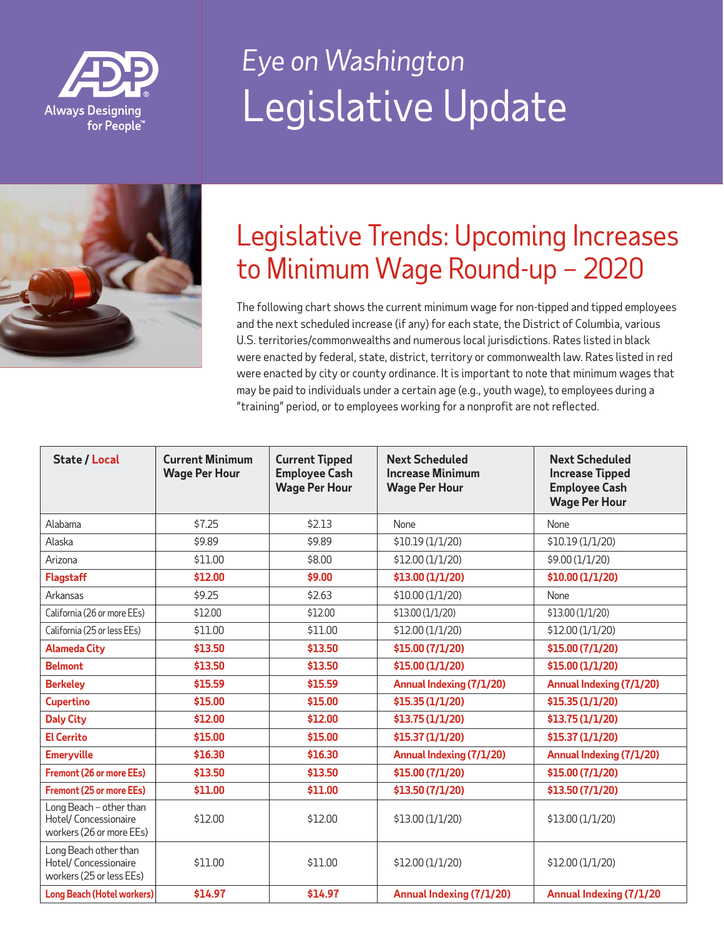



#### Legislative Trends: Upcoming Increases to Minimum Wage Round-up – 2020

The following chart shows the current minimum wage for non-tipped and tipped employees and the next scheduled increase (if any) for each state, the District of Columbia, various U.S. territories/commonwealths and numerous local jurisdictions. Rates listed in black were enacted by federal, state, district, territory or commonwealth law. Rates listed in red were enacted by city or county ordinance. It is important to note that minimum wages that may be paid to individuals under a certain age (e.g., youth wage), to employees during a "training" period, or to employees working for a nonprofit are not reflected.

| <b>State / Local</b>                                                         | <b>Current Minimum</b><br><b>Wage Per Hour</b> | <b>Current Tipped</b><br><b>Employee Cash</b><br><b>Wage Per Hour</b> | <b>Next Scheduled</b><br><b>Increase Minimum</b><br><b>Wage Per Hour</b> | <b>Next Scheduled</b><br><b>Increase Tipped</b><br><b>Employee Cash</b><br><b>Wage Per Hour</b> |
|------------------------------------------------------------------------------|------------------------------------------------|-----------------------------------------------------------------------|--------------------------------------------------------------------------|-------------------------------------------------------------------------------------------------|
| Alabama                                                                      | \$7.25                                         | \$2.13                                                                | None                                                                     | None                                                                                            |
| Alaska                                                                       | \$9.89                                         | \$9.89                                                                | \$10.19 (1/1/20)                                                         | \$10.19 (1/1/20)                                                                                |
| Arizona                                                                      | \$11.00                                        | \$8.00                                                                | \$12.00 (1/1/20)                                                         | \$9.00 (1/1/20)                                                                                 |
| <b>Flagstaff</b>                                                             | \$12.00                                        | \$9.00                                                                | \$13.00 (1/1/20)                                                         | \$10.00 (1/1/20)                                                                                |
| Arkansas                                                                     | \$9.25                                         | \$2.63                                                                | \$10.00 (1/1/20)                                                         | <b>None</b>                                                                                     |
| California (26 or more EEs)                                                  | \$12.00                                        | \$12.00                                                               | \$13.00 (1/1/20)                                                         | \$13.00 (1/1/20)                                                                                |
| California (25 or less EEs)                                                  | \$11.00                                        | \$11.00                                                               | \$12.00 (1/1/20)                                                         | \$12.00 (1/1/20)                                                                                |
| <b>Alameda City</b>                                                          | \$13.50                                        | \$13.50                                                               | \$15.00 (7/1/20)                                                         | \$15.00 (7/1/20)                                                                                |
| <b>Belmont</b>                                                               | \$13.50                                        | \$13.50                                                               | \$15.00 (1/1/20)                                                         | \$15.00 (1/1/20)                                                                                |
| <b>Berkeley</b>                                                              | \$15.59                                        | \$15.59                                                               | <b>Annual Indexing (7/1/20)</b>                                          | <b>Annual Indexing (7/1/20)</b>                                                                 |
| <b>Cupertino</b>                                                             | \$15.00                                        | \$15.00                                                               | \$15.35 (1/1/20)                                                         | \$15.35 (1/1/20)                                                                                |
| <b>Daly City</b>                                                             | \$12.00                                        | \$12.00                                                               | \$13.75 (1/1/20)                                                         | \$13.75 (1/1/20)                                                                                |
| <b>El Cerrito</b>                                                            | \$15.00                                        | \$15.00                                                               | \$15.37 (1/1/20)                                                         | \$15.37 (1/1/20)                                                                                |
| <b>Emeryville</b>                                                            | \$16.30                                        | \$16.30                                                               | Annual Indexing (7/1/20)                                                 | Annual Indexing (7/1/20)                                                                        |
| Fremont (26 or more EEs)                                                     | \$13.50                                        | \$13.50                                                               | \$15.00 (7/1/20)                                                         | \$15.00 (7/1/20)                                                                                |
| <b>Fremont (25 or more EEs)</b>                                              | \$11.00                                        | \$11.00                                                               | \$13.50 (7/1/20)                                                         | \$13.50 (7/1/20)                                                                                |
| Long Beach - other than<br>Hotel/ Concessionaire<br>workers (26 or more EEs) | \$12.00                                        | \$12.00                                                               | \$13.00 (1/1/20)                                                         | \$13.00 (1/1/20)                                                                                |
| Long Beach other than<br>Hotel/ Concessionaire<br>workers (25 or less EEs)   | \$11.00                                        | \$11.00                                                               | \$12.00 (1/1/20)                                                         | \$12.00 (1/1/20)                                                                                |
| Long Beach (Hotel workers)                                                   | \$14.97                                        | \$14.97                                                               | <b>Annual Indexing (7/1/20)</b>                                          | <b>Annual Indexing (7/1/20</b>                                                                  |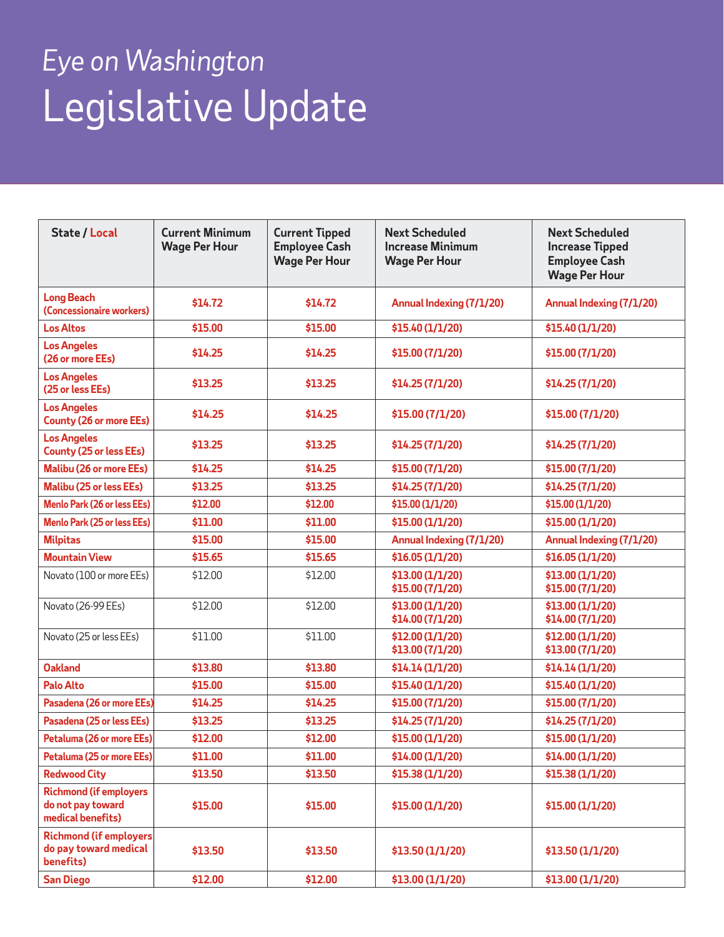| <b>State / Local</b>                                                    | <b>Current Minimum</b><br><b>Wage Per Hour</b> | <b>Current Tipped</b><br><b>Employee Cash</b><br><b>Wage Per Hour</b> | <b>Next Scheduled</b><br><b>Increase Minimum</b><br><b>Wage Per Hour</b> | <b>Next Scheduled</b><br><b>Increase Tipped</b><br><b>Employee Cash</b><br><b>Wage Per Hour</b> |
|-------------------------------------------------------------------------|------------------------------------------------|-----------------------------------------------------------------------|--------------------------------------------------------------------------|-------------------------------------------------------------------------------------------------|
| <b>Long Beach</b><br>(Concessionaire workers)                           | \$14.72                                        | \$14.72                                                               | Annual Indexing (7/1/20)                                                 | Annual Indexing (7/1/20)                                                                        |
| <b>Los Altos</b>                                                        | \$15.00                                        | \$15.00                                                               | \$15.40 (1/1/20)                                                         | \$15.40 (1/1/20)                                                                                |
| <b>Los Angeles</b><br>(26 or more EEs)                                  | \$14.25                                        | \$14.25                                                               | \$15.00 (7/1/20)                                                         | \$15.00 (7/1/20)                                                                                |
| <b>Los Angeles</b><br>(25 or less EEs)                                  | \$13.25                                        | \$13.25                                                               | \$14.25 (7/1/20)                                                         | \$14.25 (7/1/20)                                                                                |
| <b>Los Angeles</b><br><b>County (26 or more EEs)</b>                    | \$14.25                                        | \$14.25                                                               | \$15.00 (7/1/20)                                                         | \$15.00 (7/1/20)                                                                                |
| <b>Los Angeles</b><br><b>County (25 or less EEs)</b>                    | \$13.25                                        | \$13.25                                                               | \$14.25 (7/1/20)                                                         | \$14.25 (7/1/20)                                                                                |
| <b>Malibu (26 or more EEs)</b>                                          | \$14.25                                        | \$14.25                                                               | \$15.00 (7/1/20)                                                         | \$15.00 (7/1/20)                                                                                |
| Malibu (25 or less EEs)                                                 | \$13.25                                        | \$13.25                                                               | \$14.25 (7/1/20)                                                         | \$14.25 (7/1/20)                                                                                |
| Menlo Park (26 or less EEs)                                             | \$12.00                                        | \$12.00                                                               | \$15.00 (1/1/20)                                                         | \$15.00 (1/1/20)                                                                                |
| Menlo Park (25 or less EEs)                                             | \$11.00                                        | \$11.00                                                               | \$15.00 (1/1/20)                                                         | \$15.00 (1/1/20)                                                                                |
| <b>Milpitas</b>                                                         | \$15.00                                        | \$15.00                                                               | Annual Indexing (7/1/20)                                                 | Annual Indexing (7/1/20)                                                                        |
| <b>Mountain View</b>                                                    | \$15.65                                        | \$15.65                                                               | \$16.05 (1/1/20)                                                         | \$16.05 (1/1/20)                                                                                |
| Novato (100 or more EEs)                                                | \$12.00                                        | \$12.00                                                               | \$13.00 (1/1/20)<br>\$15.00 (7/1/20)                                     | \$13.00 (1/1/20)<br>\$15.00 (7/1/20)                                                            |
| Novato (26-99 EEs)                                                      | \$12.00                                        | \$12.00                                                               | \$13.00 (1/1/20)<br>\$14.00 (7/1/20)                                     | \$13.00 (1/1/20)<br>\$14.00 (7/1/20)                                                            |
| Novato (25 or less EEs)                                                 | \$11.00                                        | \$11.00                                                               | \$12.00 (1/1/20)<br>\$13.00 (7/1/20)                                     | \$12.00 (1/1/20)<br>\$13.00 (7/1/20)                                                            |
| <b>Oakland</b>                                                          | \$13.80                                        | \$13.80                                                               | \$14.14 (1/1/20)                                                         | \$14.14 (1/1/20)                                                                                |
| <b>Palo Alto</b>                                                        | \$15.00                                        | \$15.00                                                               | \$15.40 (1/1/20)                                                         | \$15.40 (1/1/20)                                                                                |
| Pasadena (26 or more EEs)                                               | \$14.25                                        | \$14.25                                                               | \$15.00 (7/1/20)                                                         | \$15.00 (7/1/20)                                                                                |
| Pasadena (25 or less EEs)                                               | \$13.25                                        | \$13.25                                                               | \$14.25 (7/1/20)                                                         | \$14.25 (7/1/20)                                                                                |
| Petaluma (26 or more EEs)                                               | \$12.00                                        | \$12.00                                                               | \$15.00 (1/1/20)                                                         | \$15.00 (1/1/20)                                                                                |
| Petaluma (25 or more EEs)                                               | \$11.00                                        | \$11.00                                                               | \$14.00 (1/1/20)                                                         | \$14.00 (1/1/20)                                                                                |
| <b>Redwood City</b>                                                     | \$13.50                                        | \$13.50                                                               | \$15.38 (1/1/20)                                                         | \$15.38 (1/1/20)                                                                                |
| <b>Richmond (if employers</b><br>do not pay toward<br>medical benefits) | \$15.00                                        | \$15.00                                                               | \$15.00 (1/1/20)                                                         | \$15.00 (1/1/20)                                                                                |
| <b>Richmond (if employers</b><br>do pay toward medical<br>benefits)     | \$13.50                                        | \$13.50                                                               | \$13.50 (1/1/20)                                                         | \$13.50 (1/1/20)                                                                                |
| <b>San Diego</b>                                                        | \$12.00                                        | \$12.00                                                               | \$13.00 (1/1/20)                                                         | \$13.00 (1/1/20)                                                                                |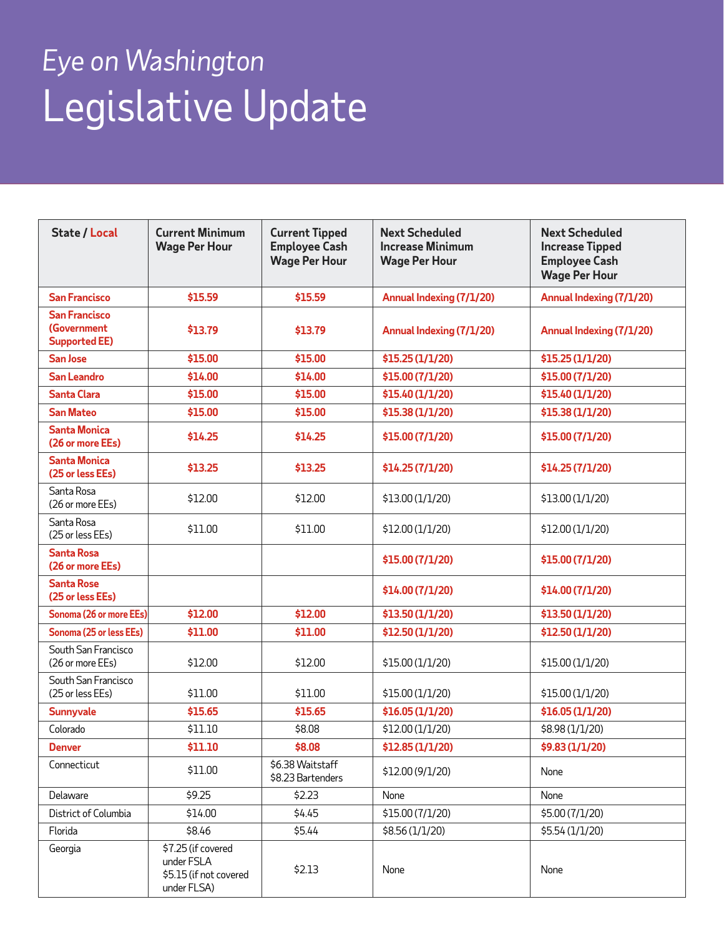| <b>State / Local</b>                                               | <b>Current Minimum</b><br><b>Wage Per Hour</b>                            | <b>Current Tipped</b><br><b>Employee Cash</b><br><b>Wage Per Hour</b> | <b>Next Scheduled</b><br><b>Increase Minimum</b><br><b>Wage Per Hour</b> | <b>Next Scheduled</b><br><b>Increase Tipped</b><br><b>Employee Cash</b><br><b>Wage Per Hour</b> |
|--------------------------------------------------------------------|---------------------------------------------------------------------------|-----------------------------------------------------------------------|--------------------------------------------------------------------------|-------------------------------------------------------------------------------------------------|
| <b>San Francisco</b>                                               | \$15.59                                                                   | \$15.59                                                               | Annual Indexing (7/1/20)                                                 | Annual Indexing (7/1/20)                                                                        |
| <b>San Francisco</b><br><b>(Government</b><br><b>Supported EE)</b> | \$13.79                                                                   | \$13.79                                                               | Annual Indexing (7/1/20)                                                 | Annual Indexing (7/1/20)                                                                        |
| San Jose                                                           | \$15.00                                                                   | \$15.00                                                               | \$15.25 (1/1/20)                                                         | \$15.25 (1/1/20)                                                                                |
| <b>San Leandro</b>                                                 | \$14.00                                                                   | \$14.00                                                               | \$15.00 (7/1/20)                                                         | \$15.00 (7/1/20)                                                                                |
| <b>Santa Clara</b>                                                 | \$15.00                                                                   | \$15.00                                                               | \$15.40 (1/1/20)                                                         | \$15.40 (1/1/20)                                                                                |
| <b>San Mateo</b>                                                   | \$15.00                                                                   | \$15.00                                                               | \$15.38 (1/1/20)                                                         | \$15.38 (1/1/20)                                                                                |
| <b>Santa Monica</b><br>(26 or more EEs)                            | \$14.25                                                                   | \$14.25                                                               | \$15.00 (7/1/20)                                                         | \$15.00 (7/1/20)                                                                                |
| <b>Santa Monica</b><br>(25 or less EEs)                            | \$13.25                                                                   | \$13.25                                                               | \$14.25 (7/1/20)                                                         | \$14.25 (7/1/20)                                                                                |
| Santa Rosa<br>(26 or more EEs)                                     | \$12.00                                                                   | \$12.00                                                               | \$13.00 (1/1/20)                                                         | \$13.00 (1/1/20)                                                                                |
| Santa Rosa<br>(25 or less EEs)                                     | \$11.00                                                                   | \$11.00                                                               | \$12.00 (1/1/20)                                                         | \$12.00 (1/1/20)                                                                                |
| <b>Santa Rosa</b><br>(26 or more EEs)                              |                                                                           |                                                                       | \$15.00 (7/1/20)                                                         | \$15.00 (7/1/20)                                                                                |
| <b>Santa Rose</b><br>(25 or less EEs)                              |                                                                           |                                                                       | \$14.00 (7/1/20)                                                         | \$14.00 (7/1/20)                                                                                |
| Sonoma (26 or more EEs)                                            | \$12.00                                                                   | \$12.00                                                               | \$13.50 (1/1/20)                                                         | \$13.50 (1/1/20)                                                                                |
| Sonoma (25 or less EEs)                                            | \$11.00                                                                   | \$11.00                                                               | \$12.50 (1/1/20)                                                         | \$12.50 (1/1/20)                                                                                |
| South San Francisco<br>(26 or more EEs)                            | \$12.00                                                                   | \$12.00                                                               | \$15.00 (1/1/20)                                                         | \$15.00 (1/1/20)                                                                                |
| South San Francisco<br>(25 or less EEs)                            | \$11.00                                                                   | \$11.00                                                               | \$15.00 (1/1/20)                                                         | \$15.00 (1/1/20)                                                                                |
| <b>Sunnyvale</b>                                                   | \$15.65                                                                   | \$15.65                                                               | \$16.05 (1/1/20)                                                         | \$16.05 (1/1/20)                                                                                |
| Colorado                                                           | \$11.10                                                                   | \$8.08                                                                | \$12.00 (1/1/20)                                                         | \$8.98 (1/1/20)                                                                                 |
| <b>Denver</b>                                                      | \$11.10                                                                   | \$8.08                                                                | \$12.85 (1/1/20)                                                         | \$9.83 (1/1/20)                                                                                 |
| Connecticut                                                        | \$11.00                                                                   | \$6.38 Waitstaff<br>\$8.23 Bartenders                                 | \$12.00 (9/1/20)                                                         | None                                                                                            |
| Delaware                                                           | \$9.25                                                                    | \$2.23                                                                | None                                                                     | None                                                                                            |
| District of Columbia                                               | \$14.00                                                                   | \$4.45                                                                | \$15.00 (7/1/20)                                                         | \$5.00 (7/1/20)                                                                                 |
| Florida                                                            | \$8.46                                                                    | \$5.44                                                                | \$8.56 (1/1/20)                                                          | \$5.54 (1/1/20)                                                                                 |
| Georgia                                                            | \$7.25 (if covered<br>under FSLA<br>\$5.15 (if not covered<br>under FLSA) | \$2.13                                                                | None                                                                     | None                                                                                            |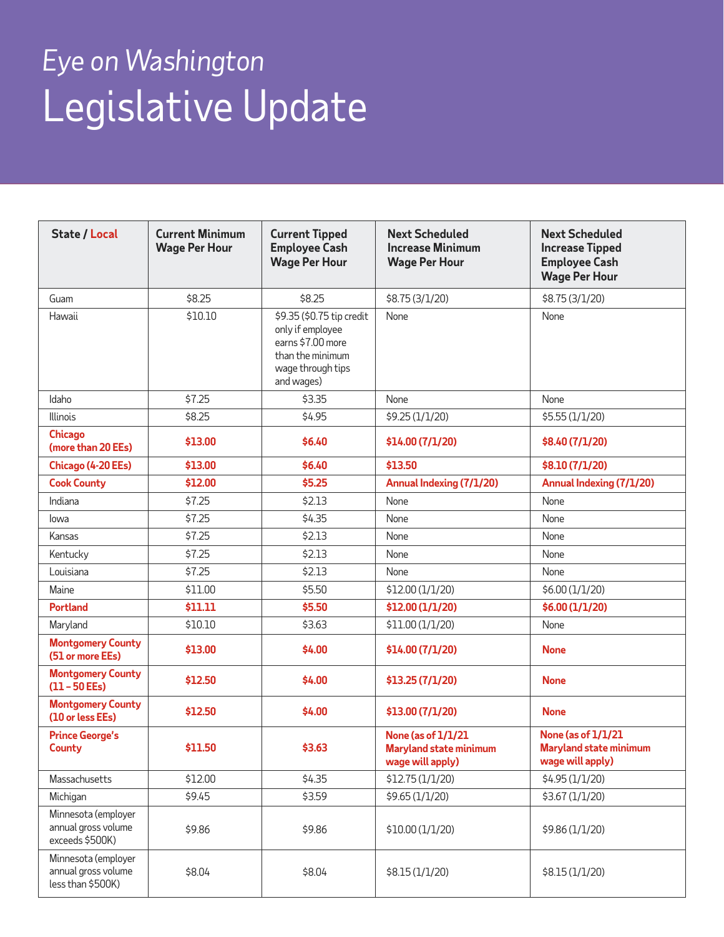| <b>State / Local</b>                                            | <b>Current Minimum</b><br><b>Wage Per Hour</b> | <b>Current Tipped</b><br><b>Employee Cash</b><br><b>Wage Per Hour</b>                                                     | <b>Next Scheduled</b><br><b>Increase Minimum</b><br><b>Wage Per Hour</b>       | <b>Next Scheduled</b><br><b>Increase Tipped</b><br><b>Employee Cash</b><br><b>Wage Per Hour</b> |
|-----------------------------------------------------------------|------------------------------------------------|---------------------------------------------------------------------------------------------------------------------------|--------------------------------------------------------------------------------|-------------------------------------------------------------------------------------------------|
| Guam                                                            | \$8.25                                         | \$8.25                                                                                                                    | \$8.75 (3/1/20)                                                                | \$8.75 (3/1/20)                                                                                 |
| Hawaii                                                          | \$10.10                                        | \$9.35 (\$0.75 tip credit<br>only if employee<br>earns \$7.00 more<br>than the minimum<br>wage through tips<br>and wages) | None                                                                           | None                                                                                            |
| Idaho                                                           | \$7.25                                         | \$3.35                                                                                                                    | None                                                                           | None                                                                                            |
| <b>Illinois</b>                                                 | \$8.25                                         | \$4.95                                                                                                                    | \$9.25 (1/1/20)                                                                | \$5.55 (1/1/20)                                                                                 |
| <b>Chicago</b><br>(more than 20 EEs)                            | \$13.00                                        | \$6.40                                                                                                                    | \$14.00 (7/1/20)                                                               | \$8.40 (7/1/20)                                                                                 |
| Chicago (4-20 EEs)                                              | \$13.00                                        | \$6.40                                                                                                                    | \$13.50                                                                        | \$8.10 (7/1/20)                                                                                 |
| <b>Cook County</b>                                              | \$12.00                                        | \$5.25                                                                                                                    | Annual Indexing (7/1/20)                                                       | Annual Indexing (7/1/20)                                                                        |
| Indiana                                                         | \$7.25                                         | \$2.13                                                                                                                    | None                                                                           | None                                                                                            |
| lowa                                                            | \$7.25                                         | \$4.35                                                                                                                    | None                                                                           | None                                                                                            |
| Kansas                                                          | \$7.25                                         | \$2.13                                                                                                                    | None                                                                           | None                                                                                            |
| Kentucky                                                        | \$7.25                                         | \$2.13                                                                                                                    | None                                                                           | None                                                                                            |
| Louisiana                                                       | \$7.25                                         | \$2.13                                                                                                                    | None                                                                           | None                                                                                            |
| Maine                                                           | \$11.00                                        | \$5.50                                                                                                                    | \$12.00 (1/1/20)                                                               | \$6.00 (1/1/20)                                                                                 |
| <b>Portland</b>                                                 | \$11.11                                        | \$5.50                                                                                                                    | \$12.00 (1/1/20)                                                               | \$6.00 (1/1/20)                                                                                 |
| Maryland                                                        | \$10.10                                        | \$3.63                                                                                                                    | \$11.00 (1/1/20)                                                               | None                                                                                            |
| <b>Montgomery County</b><br>(51 or more EEs)                    | \$13.00                                        | \$4.00                                                                                                                    | \$14.00 (7/1/20)                                                               | None                                                                                            |
| <b>Montgomery County</b><br>$(11 - 50 EEs)$                     | \$12.50                                        | \$4.00                                                                                                                    | \$13.25 (7/1/20)                                                               | <b>None</b>                                                                                     |
| <b>Montgomery County</b><br>(10 or less EEs)                    | \$12.50                                        | \$4.00                                                                                                                    | \$13.00 (7/1/20)                                                               | <b>None</b>                                                                                     |
| <b>Prince George's</b><br>County                                | \$11.50                                        | \$3.63                                                                                                                    | <b>None (as of 1/1/21</b><br><b>Maryland state minimum</b><br>wage will apply) | <b>None (as of 1/1/21)</b><br><b>Maryland state minimum</b><br>wage will apply)                 |
| Massachusetts                                                   | \$12.00                                        | \$4.35                                                                                                                    | \$12.75 (1/1/20)                                                               | \$4.95 (1/1/20)                                                                                 |
| Michigan                                                        | \$9.45                                         | \$3.59                                                                                                                    | \$9.65 (1/1/20)                                                                | \$3.67 (1/1/20)                                                                                 |
| Minnesota (employer<br>annual gross volume<br>exceeds \$500K)   | \$9.86                                         | \$9.86                                                                                                                    | \$10.00 (1/1/20)                                                               | \$9.86 (1/1/20)                                                                                 |
| Minnesota (employer<br>annual gross volume<br>less than \$500K) | \$8.04                                         | \$8.04                                                                                                                    | \$8.15 (1/1/20)                                                                | \$8.15 (1/1/20)                                                                                 |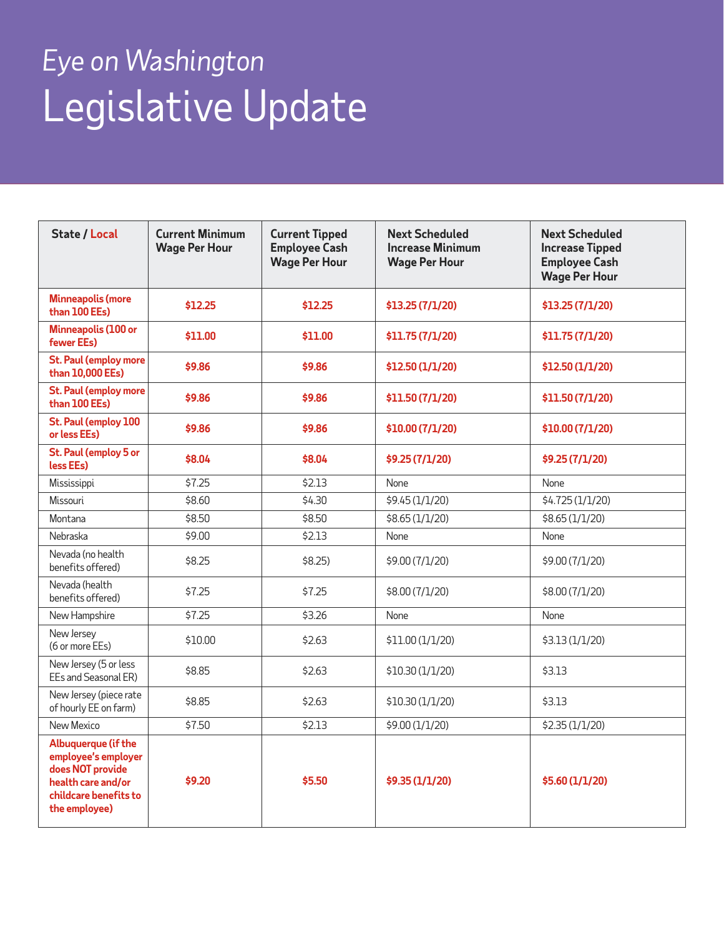| <b>State / Local</b>                                                                                                           | <b>Current Minimum</b><br><b>Wage Per Hour</b> | <b>Current Tipped</b><br><b>Employee Cash</b><br><b>Wage Per Hour</b> | <b>Next Scheduled</b><br><b>Increase Minimum</b><br><b>Wage Per Hour</b> | <b>Next Scheduled</b><br><b>Increase Tipped</b><br><b>Employee Cash</b><br><b>Wage Per Hour</b> |
|--------------------------------------------------------------------------------------------------------------------------------|------------------------------------------------|-----------------------------------------------------------------------|--------------------------------------------------------------------------|-------------------------------------------------------------------------------------------------|
| <b>Minneapolis (more</b><br>than 100 EEs)                                                                                      | \$12.25                                        | \$12.25                                                               | \$13.25 (7/1/20)                                                         | \$13.25 (7/1/20)                                                                                |
| Minneapolis (100 or<br>fewer EEs)                                                                                              | \$11.00                                        | \$11.00                                                               | \$11.75 (7/1/20)                                                         | \$11.75 (7/1/20)                                                                                |
| St. Paul (employ more<br>than 10,000 EEs)                                                                                      | \$9.86                                         | \$9.86                                                                | \$12.50 (1/1/20)                                                         | \$12.50 (1/1/20)                                                                                |
| St. Paul (employ more<br>than 100 EEs)                                                                                         | \$9.86                                         | \$9.86                                                                | \$11.50 (7/1/20)                                                         | \$11.50 (7/1/20)                                                                                |
| St. Paul (employ 100<br>or less EEs)                                                                                           | \$9.86                                         | \$9.86                                                                | \$10.00 (7/1/20)                                                         | \$10.00 (7/1/20)                                                                                |
| St. Paul (employ 5 or<br>less EEs)                                                                                             | \$8.04                                         | \$8.04                                                                | \$9.25 (7/1/20)                                                          | \$9.25 (7/1/20)                                                                                 |
| Mississippi                                                                                                                    | \$7.25                                         | \$2.13                                                                | None                                                                     | None                                                                                            |
| Missouri                                                                                                                       | \$8,60                                         | \$4.30                                                                | \$9.45 (1/1/20)                                                          | \$4.725 (1/1/20)                                                                                |
| Montana                                                                                                                        | \$8.50                                         | \$8.50                                                                | \$8.65 (1/1/20)                                                          | \$8.65 (1/1/20)                                                                                 |
| Nebraska                                                                                                                       | \$9.00                                         | \$2.13                                                                | None                                                                     | None                                                                                            |
| Nevada (no health<br>benefits offered)                                                                                         | \$8.25                                         | $$8.25$ )                                                             | \$9.00 (7/1/20)                                                          | \$9.00 (7/1/20)                                                                                 |
| Nevada (health<br>benefits offered)                                                                                            | \$7.25                                         | \$7.25                                                                | \$8.00 (7/1/20)                                                          | \$8.00 (7/1/20)                                                                                 |
| New Hampshire                                                                                                                  | \$7.25                                         | \$3.26                                                                | None                                                                     | None                                                                                            |
| New Jersey<br>(6 or more EEs)                                                                                                  | \$10.00                                        | \$2.63                                                                | \$11.00 (1/1/20)                                                         | \$3.13 (1/1/20)                                                                                 |
| New Jersey (5 or less<br>EEs and Seasonal ER)                                                                                  | \$8.85                                         | \$2.63                                                                | \$10.30 (1/1/20)                                                         | \$3.13                                                                                          |
| New Jersey (piece rate<br>of hourly EE on farm)                                                                                | \$8.85                                         | \$2.63                                                                | \$10.30 (1/1/20)                                                         | \$3.13                                                                                          |
| New Mexico                                                                                                                     | \$7.50                                         | \$2.13                                                                | \$9.00 (1/1/20)                                                          | \$2.35 (1/1/20)                                                                                 |
| Albuquerque (if the<br>employee's employer<br>does NOT provide<br>health care and/or<br>childcare benefits to<br>the employee) | \$9.20                                         | \$5.50                                                                | \$9.35 (1/1/20)                                                          | \$5.60 (1/1/20)                                                                                 |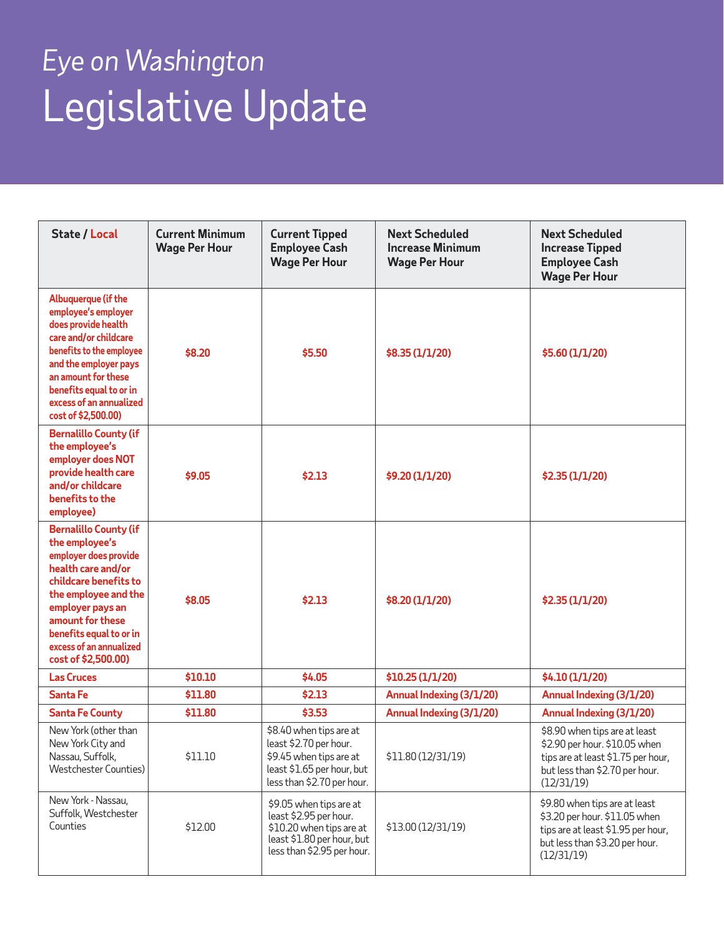| <b>State / Local</b>                                                                                                                                                                                                                                                | <b>Current Minimum</b><br><b>Wage Per Hour</b> | <b>Current Tipped</b><br><b>Employee Cash</b><br><b>Wage Per Hour</b>                                                                     | <b>Next Scheduled</b><br><b>Increase Minimum</b><br><b>Wage Per Hour</b> | <b>Next Scheduled</b><br><b>Increase Tipped</b><br><b>Employee Cash</b><br><b>Wage Per Hour</b>                                                      |
|---------------------------------------------------------------------------------------------------------------------------------------------------------------------------------------------------------------------------------------------------------------------|------------------------------------------------|-------------------------------------------------------------------------------------------------------------------------------------------|--------------------------------------------------------------------------|------------------------------------------------------------------------------------------------------------------------------------------------------|
| Albuquerque (if the<br>employee's employer<br>does provide health<br>care and/or childcare<br>benefits to the employee<br>and the employer pays<br>an amount for these<br>benefits equal to or in<br>excess of an annualized<br>cost of \$2,500.00)                 | \$8.20                                         | \$5.50                                                                                                                                    | \$8.35 (1/1/20)                                                          | \$5.60 (1/1/20)                                                                                                                                      |
| <b>Bernalillo County (if</b><br>the employee's<br>employer does NOT<br>provide health care<br>and/or childcare<br>benefits to the<br>employee)                                                                                                                      | \$9.05                                         | \$2.13                                                                                                                                    | \$9.20 (1/1/20)                                                          | \$2.35 (1/1/20)                                                                                                                                      |
| <b>Bernalillo County (if</b><br>the employee's<br>employer does provide<br>health care and/or<br>childcare benefits to<br>the employee and the<br>employer pays an<br>amount for these<br>benefits equal to or in<br>excess of an annualized<br>cost of \$2,500.00) | \$8.05                                         | \$2.13                                                                                                                                    | \$8.20 (1/1/20)                                                          | \$2.35 (1/1/20)                                                                                                                                      |
| <b>Las Cruces</b>                                                                                                                                                                                                                                                   | \$10.10                                        | \$4.05                                                                                                                                    | \$10.25 (1/1/20)                                                         | \$4.10 (1/1/20)                                                                                                                                      |
| Santa Fe                                                                                                                                                                                                                                                            | \$11.80                                        | \$2.13                                                                                                                                    | Annual Indexing (3/1/20)                                                 | Annual Indexing (3/1/20)                                                                                                                             |
| <b>Santa Fe County</b>                                                                                                                                                                                                                                              | \$11.80                                        | \$3.53                                                                                                                                    | Annual Indexing (3/1/20)                                                 | Annual Indexing (3/1/20)                                                                                                                             |
| New York (other than<br>New York City and<br>Nassau, Suffolk,<br><b>Westchester Counties)</b>                                                                                                                                                                       | \$11.10                                        | \$8.40 when tips are at<br>least \$2.70 per hour.<br>\$9.45 when tips are at<br>least \$1.65 per hour, but<br>less than \$2.70 per hour.  | \$11.80 (12/31/19)                                                       | \$8.90 when tips are at least<br>\$2.90 per hour. \$10.05 when<br>tips are at least \$1.75 per hour,<br>but less than \$2.70 per hour.<br>(12/31/19) |
| New York - Nassau,<br>Suffolk, Westchester<br>Counties                                                                                                                                                                                                              | \$12.00                                        | \$9.05 when tips are at<br>least \$2.95 per hour.<br>\$10.20 when tips are at<br>least \$1.80 per hour, but<br>less than \$2.95 per hour. | \$13.00 (12/31/19)                                                       | \$9.80 when tips are at least<br>\$3.20 per hour. \$11.05 when<br>tips are at least \$1.95 per hour,<br>but less than \$3.20 per hour.<br>(12/31/19) |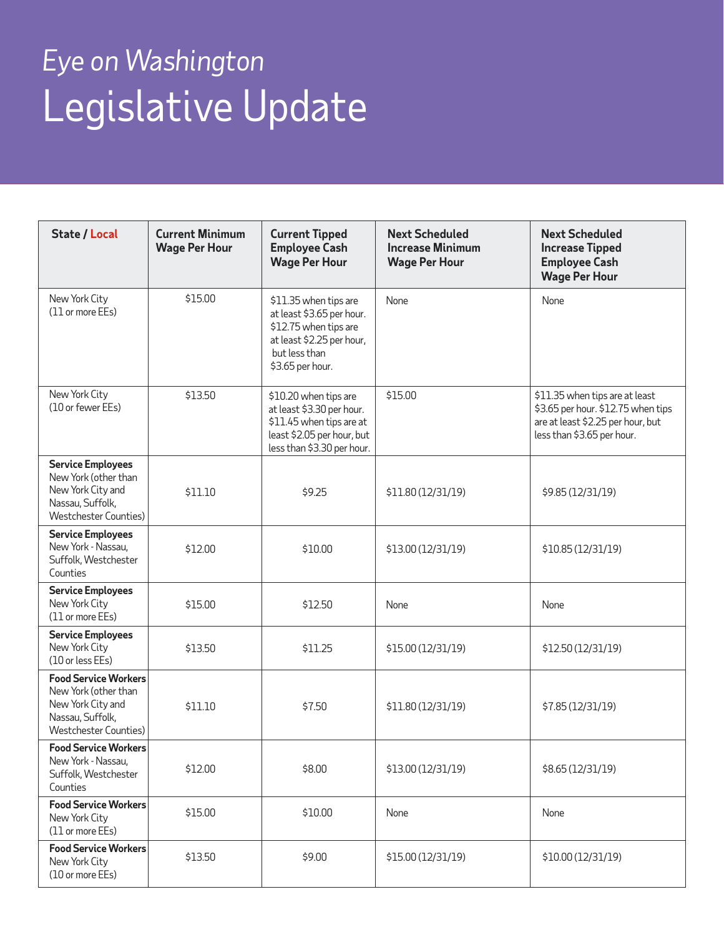| <b>State / Local</b>                                                                                                      | <b>Current Minimum</b><br><b>Wage Per Hour</b> | <b>Current Tipped</b><br><b>Employee Cash</b><br><b>Wage Per Hour</b>                                                                         | <b>Next Scheduled</b><br><b>Increase Minimum</b><br><b>Wage Per Hour</b> | <b>Next Scheduled</b><br><b>Increase Tipped</b><br><b>Employee Cash</b><br><b>Wage Per Hour</b>                                         |
|---------------------------------------------------------------------------------------------------------------------------|------------------------------------------------|-----------------------------------------------------------------------------------------------------------------------------------------------|--------------------------------------------------------------------------|-----------------------------------------------------------------------------------------------------------------------------------------|
| New York City<br>(11 or more EEs)                                                                                         | \$15.00                                        | \$11.35 when tips are<br>at least \$3.65 per hour.<br>\$12.75 when tips are<br>at least \$2.25 per hour,<br>but less than<br>\$3.65 per hour. | None                                                                     | None                                                                                                                                    |
| New York City<br>(10 or fewer EEs)                                                                                        | \$13.50                                        | \$10.20 when tips are<br>at least \$3.30 per hour.<br>\$11.45 when tips are at<br>least \$2.05 per hour, but<br>less than \$3.30 per hour.    | \$15.00                                                                  | \$11.35 when tips are at least<br>\$3.65 per hour. \$12.75 when tips<br>are at least \$2.25 per hour, but<br>less than \$3.65 per hour. |
| <b>Service Employees</b><br>New York (other than<br>New York City and<br>Nassau, Suffolk,<br><b>Westchester Counties)</b> | \$11.10                                        | \$9.25                                                                                                                                        | \$11.80 (12/31/19)                                                       | \$9.85 (12/31/19)                                                                                                                       |
| <b>Service Employees</b><br>New York - Nassau,<br>Suffolk, Westchester<br>Counties                                        | \$12.00                                        | \$10.00                                                                                                                                       | \$13.00 (12/31/19)                                                       | \$10.85 (12/31/19)                                                                                                                      |
| <b>Service Employees</b><br>New York City<br>(11 or more EEs)                                                             | \$15.00                                        | \$12.50                                                                                                                                       | None                                                                     | None                                                                                                                                    |
| <b>Service Employees</b><br>New York City<br>(10 or less EEs)                                                             | \$13.50                                        | \$11.25                                                                                                                                       | \$15.00 (12/31/19)                                                       | \$12.50 (12/31/19)                                                                                                                      |
| <b>Food Service Workers</b><br>New York (other than<br>New York City and<br>Nassau, Suffolk,<br>Westchester Counties)     | \$11.10                                        | \$7.50                                                                                                                                        | \$11.80 (12/31/19)                                                       | \$7.85 (12/31/19)                                                                                                                       |
| <b>Food Service Workers</b><br>New York - Nassau,<br>Suffolk, Westchester<br>Counties                                     | \$12.00                                        | \$8.00                                                                                                                                        | \$13.00 (12/31/19)                                                       | \$8.65 (12/31/19)                                                                                                                       |
| <b>Food Service Workers</b><br>New York City<br>(11 or more EEs)                                                          | \$15.00                                        | \$10.00                                                                                                                                       | None                                                                     | None                                                                                                                                    |
| <b>Food Service Workers</b><br>New York City<br>(10 or more EEs)                                                          | \$13.50                                        | \$9.00                                                                                                                                        | \$15.00 (12/31/19)                                                       | \$10.00 (12/31/19)                                                                                                                      |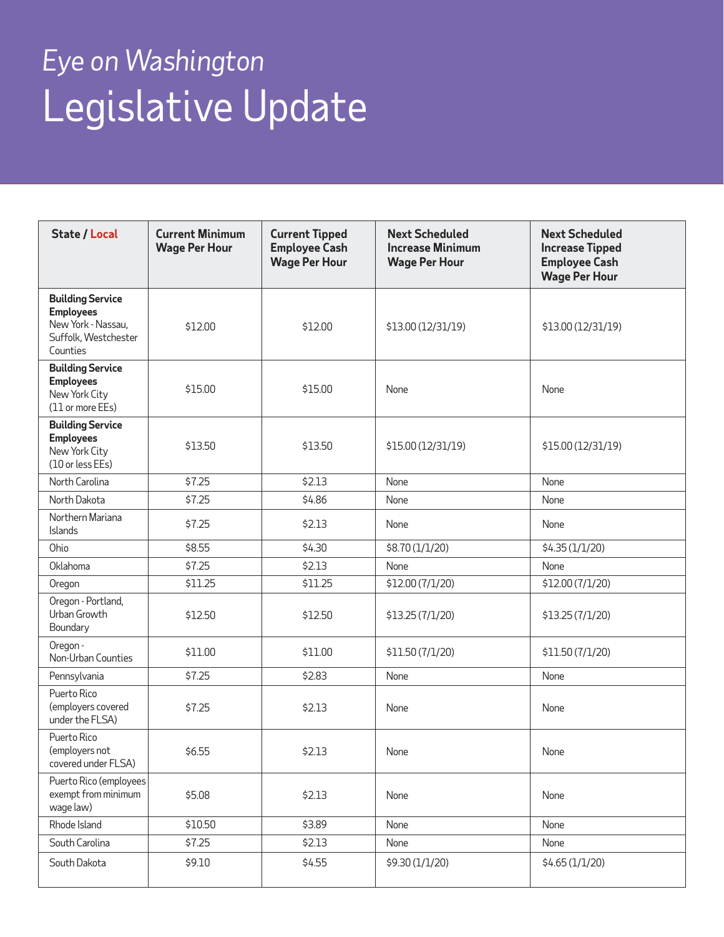| <b>State / Local</b>                                                                                  | <b>Current Minimum</b><br><b>Wage Per Hour</b> | <b>Current Tipped</b><br><b>Employee Cash</b><br><b>Wage Per Hour</b> | <b>Next Scheduled</b><br><b>Increase Minimum</b><br><b>Wage Per Hour</b> | <b>Next Scheduled</b><br><b>Increase Tipped</b><br><b>Employee Cash</b><br><b>Wage Per Hour</b> |
|-------------------------------------------------------------------------------------------------------|------------------------------------------------|-----------------------------------------------------------------------|--------------------------------------------------------------------------|-------------------------------------------------------------------------------------------------|
| <b>Building Service</b><br><b>Employees</b><br>New York - Nassau,<br>Suffolk, Westchester<br>Counties | \$12.00                                        | \$12.00                                                               | \$13.00 (12/31/19)                                                       | \$13.00 (12/31/19)                                                                              |
| <b>Building Service</b><br><b>Employees</b><br>New York City<br>(11 or more EEs)                      | \$15.00                                        | \$15.00                                                               | None                                                                     | None                                                                                            |
| <b>Building Service</b><br><b>Employees</b><br>New York City<br>(10 or less EEs)                      | \$13.50                                        | \$13.50                                                               | \$15.00 (12/31/19)                                                       | \$15.00 (12/31/19)                                                                              |
| North Carolina                                                                                        | \$7.25                                         | \$2.13                                                                | None                                                                     | None                                                                                            |
| North Dakota                                                                                          | \$7.25                                         | \$4.86                                                                | None                                                                     | None                                                                                            |
| Northern Mariana<br>Islands                                                                           | \$7.25                                         | \$2.13                                                                | None                                                                     | None                                                                                            |
| Ohio                                                                                                  | \$8.55                                         | \$4.30                                                                | \$8.70 (1/1/20)                                                          | \$4.35(1/1/20)                                                                                  |
| Oklahoma                                                                                              | \$7.25                                         | \$2.13                                                                | None                                                                     | None                                                                                            |
| Oregon                                                                                                | \$11.25                                        | \$11.25                                                               | \$12.00 (7/1/20)                                                         | \$12.00 (7/1/20)                                                                                |
| Oregon - Portland,<br>Urban Growth<br>Boundary                                                        | \$12.50                                        | \$12.50                                                               | \$13.25 (7/1/20)                                                         | \$13.25 (7/1/20)                                                                                |
| Oregon -<br>Non-Urban Counties                                                                        | \$11.00                                        | \$11.00                                                               | \$11.50 (7/1/20)                                                         | \$11.50 (7/1/20)                                                                                |
| Pennsylvania                                                                                          | \$7.25                                         | \$2.83                                                                | None                                                                     | None                                                                                            |
| Puerto Rico<br>(employers covered<br>under the FLSA)                                                  | \$7.25                                         | \$2.13                                                                | None                                                                     | None                                                                                            |
| Puerto Rico<br>(employers not<br>covered under FLSA)                                                  | \$6.55                                         | \$2.13                                                                | None                                                                     | None                                                                                            |
| Puerto Rico (employees<br>exempt from minimum<br>wage law)                                            | \$5.08                                         | \$2.13                                                                | None                                                                     | None                                                                                            |
| Rhode Island                                                                                          | \$10.50                                        | \$3.89                                                                | None                                                                     | None                                                                                            |
| South Carolina                                                                                        | \$7.25                                         | \$2.13                                                                | None                                                                     | None                                                                                            |
| South Dakota                                                                                          | \$9.10                                         | \$4.55                                                                | \$9.30 (1/1/20)                                                          | \$4.65(1/1/20)                                                                                  |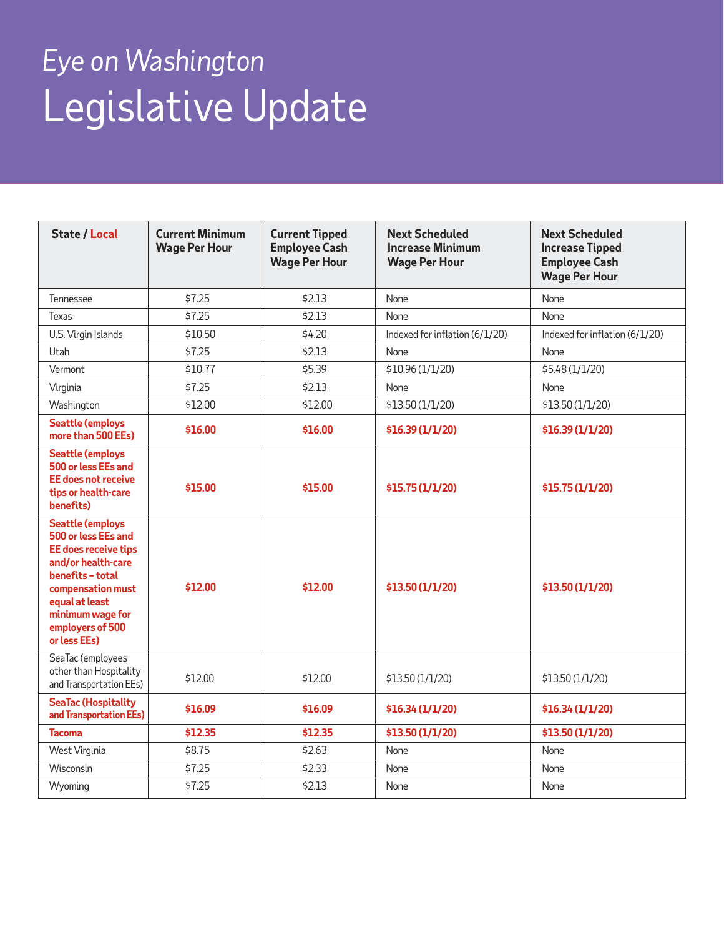| <b>State / Local</b>                                                                                                                                                                                            | <b>Current Minimum</b><br><b>Wage Per Hour</b> | <b>Current Tipped</b><br><b>Employee Cash</b><br><b>Wage Per Hour</b> | <b>Next Scheduled</b><br><b>Increase Minimum</b><br><b>Wage Per Hour</b> | <b>Next Scheduled</b><br><b>Increase Tipped</b><br><b>Employee Cash</b><br><b>Wage Per Hour</b> |
|-----------------------------------------------------------------------------------------------------------------------------------------------------------------------------------------------------------------|------------------------------------------------|-----------------------------------------------------------------------|--------------------------------------------------------------------------|-------------------------------------------------------------------------------------------------|
| Tennessee                                                                                                                                                                                                       | \$7.25                                         | \$2.13                                                                | None                                                                     | None                                                                                            |
| Texas                                                                                                                                                                                                           | \$7.25                                         | \$2.13                                                                | None                                                                     | None                                                                                            |
| U.S. Virgin Islands                                                                                                                                                                                             | \$10.50                                        | \$4.20                                                                | Indexed for inflation (6/1/20)                                           | Indexed for inflation (6/1/20)                                                                  |
| Utah                                                                                                                                                                                                            | \$7.25                                         | \$2.13                                                                | None                                                                     | None                                                                                            |
| Vermont                                                                                                                                                                                                         | \$10.77                                        | \$5.39                                                                | \$10.96 (1/1/20)                                                         | \$5.48 (1/1/20)                                                                                 |
| Virginia                                                                                                                                                                                                        | \$7.25                                         | \$2.13                                                                | None                                                                     | None                                                                                            |
| Washington                                                                                                                                                                                                      | \$12.00                                        | \$12.00                                                               | \$13.50 (1/1/20)                                                         | \$13.50 (1/1/20)                                                                                |
| <b>Seattle (employs</b><br>more than 500 EEs)                                                                                                                                                                   | \$16.00                                        | \$16.00                                                               | \$16.39 (1/1/20)                                                         | \$16.39 (1/1/20)                                                                                |
| <b>Seattle (employs</b><br>500 or less EEs and<br><b>EE</b> does not receive<br>tips or health-care<br>benefits)                                                                                                | \$15.00                                        | \$15.00                                                               | \$15.75 (1/1/20)                                                         | \$15.75 (1/1/20)                                                                                |
| <b>Seattle (employs</b><br>500 or less EEs and<br>EE does receive tips<br>and/or health-care<br>benefits - total<br>compensation must<br>equal at least<br>minimum wage for<br>employers of 500<br>or less EEs) | \$12.00                                        | \$12.00                                                               | \$13.50 (1/1/20)                                                         | \$13.50 (1/1/20)                                                                                |
| SeaTac (employees<br>other than Hospitality<br>and Transportation EEs)                                                                                                                                          | \$12.00                                        | \$12.00                                                               | \$13.50 (1/1/20)                                                         | \$13.50 (1/1/20)                                                                                |
| <b>SeaTac (Hospitality</b><br>and Transportation EEs)                                                                                                                                                           | \$16.09                                        | \$16.09                                                               | \$16.34 (1/1/20)                                                         | \$16.34 (1/1/20)                                                                                |
| <b>Tacoma</b>                                                                                                                                                                                                   | \$12.35                                        | \$12.35                                                               | \$13.50 (1/1/20)                                                         | \$13.50 (1/1/20)                                                                                |
| West Virginia                                                                                                                                                                                                   | \$8.75                                         | \$2.63                                                                | None                                                                     | None                                                                                            |
| Wisconsin                                                                                                                                                                                                       | \$7.25                                         | \$2.33                                                                | None                                                                     | None                                                                                            |
| Wyoming                                                                                                                                                                                                         | \$7.25                                         | \$2.13                                                                | None                                                                     | None                                                                                            |